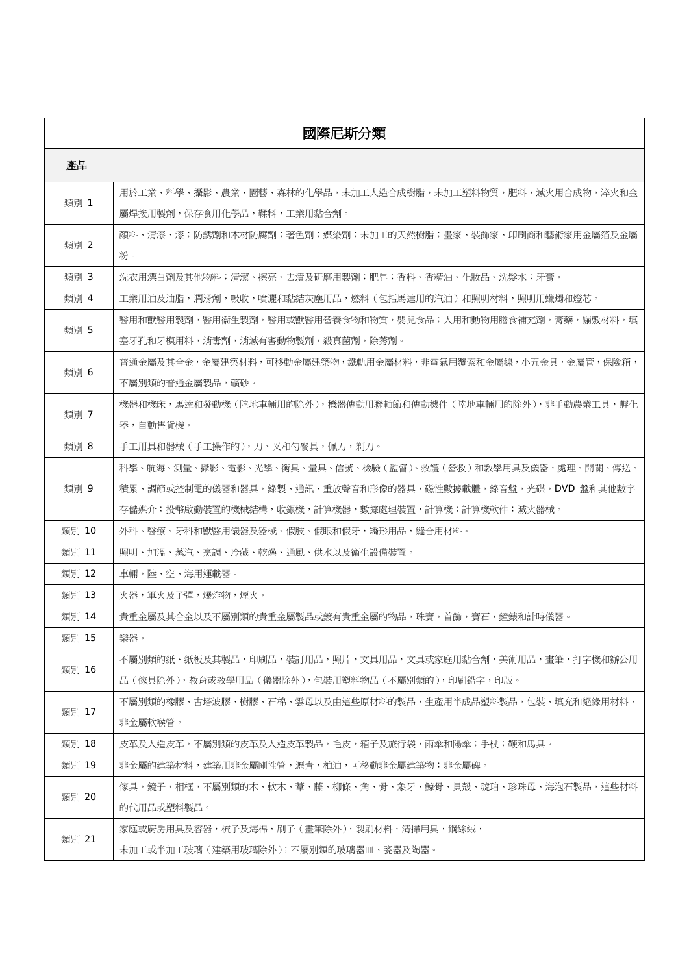| 國際尼斯分類 |                                                            |  |
|--------|------------------------------------------------------------|--|
| 產品     |                                                            |  |
| 類別 1   | 用於工業、科學、攝影、農業、園藝、森林的化學品,未加工人造合成樹脂,未加工塑料物質,肥料,滅火用合成物,淬火和金   |  |
|        | 屬焊接用製劑,保存食用化學品,鞣料,工業用黏合劑。                                  |  |
| 類別 2   | 顔料、清漆、漆;防銹劑和木材防腐劑;著色劑;媒染劑;未加工的天然樹脂;畫家、裝飾家、印刷商和藝術家用金屬箔及金屬   |  |
|        | 粉。                                                         |  |
| 類別 3   | 洗衣用漂白劑及其他物料;清潔、擦亮、去漬及研磨用製劑;肥皂;香料、香精油、化妝品、洗髮水;牙膏。           |  |
| 類別 4   | 工業用油及油脂,潤滑劑,吸收,噴灑和黏結灰塵用品,燃料(包括馬達用的汽油)和照明材料,照明用蠟燭和燈芯。       |  |
| 類別 5   | 醫用和獸醫用製劑,醫用衞生製劑,醫用或獸醫用營養食物和物質,嬰兒食品;人用和動物用膳食補充劑,膏藥,繃敷材料,填   |  |
|        | 寒牙孔和牙模用料,消毒劑,消滅有害動物製劑,殺真菌劑,除莠劑。                            |  |
| 類別 6   | 普通金屬及其合金,金屬建築材料,可移動金屬建築物,鐵軌用金屬材料,非電氣用纜索和金屬線,小五金具,金屬管,保險箱,  |  |
|        | 不屬別類的普通金屬製品,礦砂。                                            |  |
| 類別 7   | 機器和機床,馬達和發動機(陸地車輛用的除外),機器傳動用聯軸節和傳動機件(陸地車輛用的除外),非手動農業工具,孵化  |  |
|        | 器,自動售貨機。                                                   |  |
| 類別 8   | 手工用具和器械(手工操作的),刀、叉和勺餐具,佩刀,剃刀。                              |  |
|        | 科學、航海、測量、攝影、電影、光學、衡具、量具、信號、檢驗(監督)、救護(營救)和教學用具及儀器,處理、開關、傳送、 |  |
| 類別 9   | 積累、調節或控制電的儀器和器具,錄製、通訊、重放聲音和形像的器具,磁性數據載體,錄音盤,光碟,DVD 盤和其他數字  |  |
|        | 存儲媒介;投幣啟動裝置的機械結構,收銀機,計算機器,數據處理裝置,計算機;計算機軟件;滅火器械。           |  |
| 類別 10  | 外科、醫療、牙科和獸醫用儀器及器械、假肢、假眼和假牙,矯形用品,縫合用材料。                     |  |
| 類別 11  | 照明、加溫、蒸汽、烹調、冷藏、乾燥、通風、供水以及衞生設備裝置。                           |  |
| 類別 12  | 車輛,陸、空、海用運載器。                                              |  |
| 類別 13  | 火器,軍火及子彈,爆炸物,煙火。                                           |  |
| 類別 14  | 貴重金屬及其合金以及不屬別類的貴重金屬製品或鍍有貴重金屬的物品,珠寶,首飾,寶石,鐘錶和計時儀器。          |  |
| 類別 15  | 樂器。                                                        |  |
|        | 不屬別類的紙、紙板及其製品,印刷品,裝訂用品,照片,文具用品,文具或家庭用黏合劑,美術用品,畫筆,打字機和辦公用   |  |
| 類別 16  | 品(傢具除外),教育或教學用品(儀器除外),包裝用塑料物品(不屬別類的),印刷鉛字,印版。              |  |
|        | 不屬別類的橡膠、古塔波膠、樹膠、石棉、雲母以及由這些原材料的製品,生產用半成品塑料製品,包裝、填充和絕緣用材料,   |  |
| 類別 17  | 非金屬軟喉管。                                                    |  |
| 類別 18  | 皮革及人造皮革,不屬別類的皮革及人造皮革製品,毛皮,箱子及旅行袋,雨傘和陽傘;手杖;鞭和馬具。            |  |
| 類別 19  | 非金屬的建築材料,建築用非金屬剛性管,瀝青,柏油,可移動非金屬建築物;非金屬碑。                   |  |
| 類別 20  | 傢具,鏡子,相框,不屬別類的木、軟木、葦、藤、柳條、角、骨、象牙、鯨骨、貝殼、琥珀、珍珠母、海泡石製品,這些材料   |  |
|        | 的代用品或塑料製品。                                                 |  |
| 類別 21  | 家庭或廚房用具及容器,梳子及海棉,刷子(書筆除外),製刷材料,清掃用具,鋼絲絨,                   |  |
|        | 未加工或半加工玻璃(建築用玻璃除外);不屬別類的玻璃器皿、瓷器及陶器。                        |  |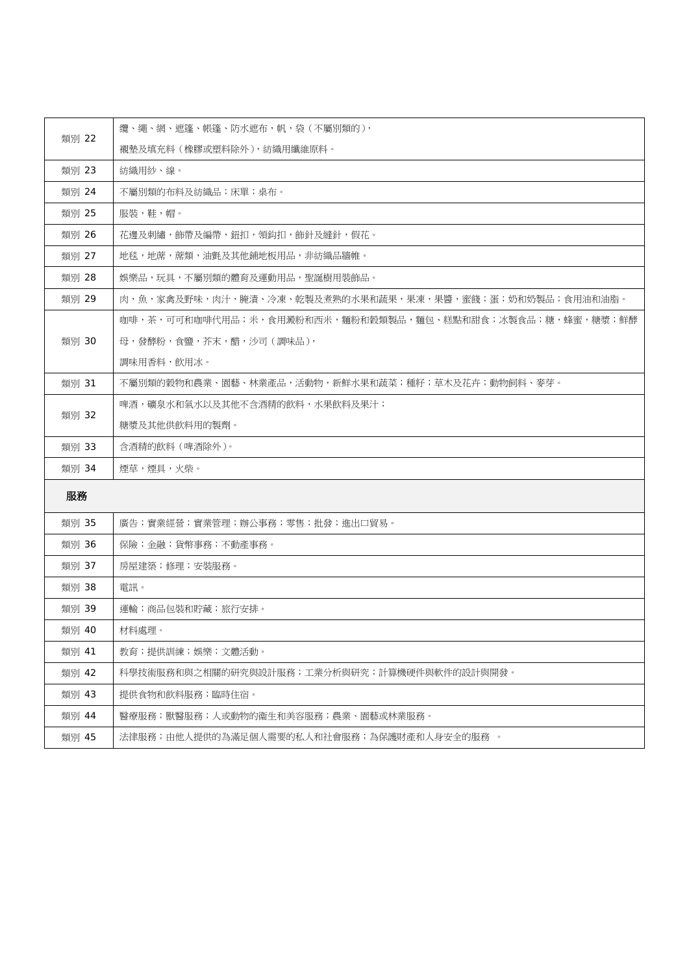| 類別 22 | 纘、繩、網、遮篷、帳篷、防水遮布,帆,袋(不屬別類的),                             |
|-------|----------------------------------------------------------|
|       | 襯墊及填充料(橡膠或塑料除外),紡織用纖維原料。                                 |
| 類別 23 | 紡織用紗、線。                                                  |
| 類別 24 | 不屬別類的布料及紡織品;床單;桌布。                                       |
| 類別 25 | 服裝,鞋,帽。                                                  |
| 類別 26 | 花邊及刺繡,飾帶及編帶,鈕扣,領鈎扣,飾針及縫針,假花。                             |
| 類別 27 | 地毯,地蓆,蓆類,油氈及其他鋪地板用品,非紡織品牆帷。                              |
| 類別 28 | 娛樂品,玩具,不屬別類的體育及運動用品,聖誕樹用裝飾品。                             |
| 類別 29 | 肉,魚,家禽及野味,肉汁,腌清、冷凍、乾製及煮熟的水果和蔬果,果凍,果醬,蜜餞;蛋;奶和奶製品;食用油和油脂。  |
|       | 咖啡,茶,可可和咖啡代用品;米,食用澱粉和西米,麵粉和穀類製品,麵包、糕點和甜食;冰製食品;糖,蜂蜜,糖漿;鮮酵 |
| 類別 30 | 母,發酵粉,食鹽,芥末,醋,沙司(調味品),                                   |
|       | 調味用香料,飲用冰。                                               |
| 類別 31 | 不屬別類的穀物和農業、園藝、林業產品,活動物,新鮮水果和蔬菜;種籽;草木及花卉;動物飼料、麥芽。         |
|       | 啤酒,礦泉水和氣水以及其他不含酒精的飲料,水果飲料及果汁;                            |
| 類別 32 | 糖漿及其他供飲料用的製劑。                                            |
| 類別 33 | 含酒精的飲料(啤酒除外)。                                            |
| 類別 34 | 煙草,煙具,火柴。                                                |
| 服務    |                                                          |
| 類別 35 | 廣告;實業經營;實業管理;辦公事務;零售;批發;進出口貿易。                           |
| 類別 36 | 保險;金融;貨幣事務;不動產事務。                                        |
| 類別 37 | 房屋建築;修理;安裝服務。                                            |
| 類別 38 | 電訊。                                                      |
| 類別 39 | 運輸;商品包裝和貯藏;旅行安排。                                         |
| 類別 40 | 材料處理。                                                    |
| 類別 41 | 教育;提供訓練;娛樂;文體活動。                                         |
| 類別 42 | 科學技術服務和與之相關的研究與設計服務;工業分析與研究;計算機硬件與軟件的設計與開發。              |
| 類別 43 | 提供食物和飲料服務;臨時住宿。                                          |
| 類別 44 | 醫療服務;獸醫服務;人或動物的衞生和美容服務;農業、園藝或林業服務。                       |
| 類別 45 | 法律服務;由他人提供的為滿足個人需要的私人和社會服務;為保護財產和人身安全的服務 。               |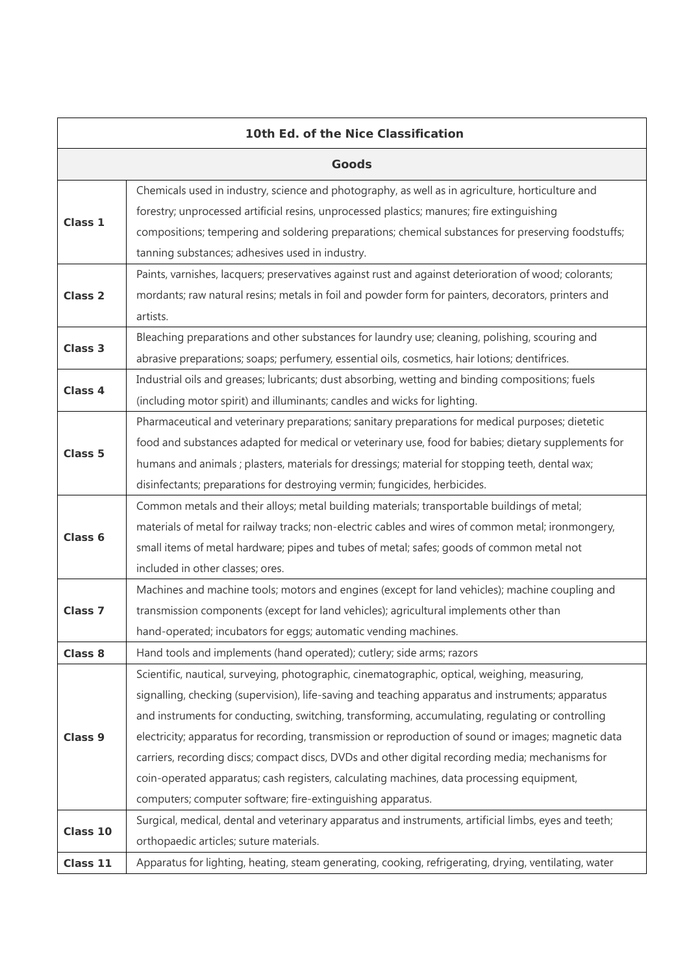| 10th Ed. of the Nice Classification |                                                                                                       |  |
|-------------------------------------|-------------------------------------------------------------------------------------------------------|--|
| <b>Goods</b>                        |                                                                                                       |  |
|                                     | Chemicals used in industry, science and photography, as well as in agriculture, horticulture and      |  |
| Class 1                             | forestry; unprocessed artificial resins, unprocessed plastics; manures; fire extinguishing            |  |
|                                     | compositions; tempering and soldering preparations; chemical substances for preserving foodstuffs;    |  |
|                                     | tanning substances; adhesives used in industry.                                                       |  |
|                                     | Paints, varnishes, lacquers; preservatives against rust and against deterioration of wood; colorants; |  |
| Class <sub>2</sub>                  | mordants; raw natural resins; metals in foil and powder form for painters, decorators, printers and   |  |
|                                     | artists.                                                                                              |  |
| Class 3                             | Bleaching preparations and other substances for laundry use; cleaning, polishing, scouring and        |  |
|                                     | abrasive preparations; soaps; perfumery, essential oils, cosmetics, hair lotions; dentifrices.        |  |
| Class 4                             | Industrial oils and greases; lubricants; dust absorbing, wetting and binding compositions; fuels      |  |
|                                     | (including motor spirit) and illuminants; candles and wicks for lighting.                             |  |
|                                     | Pharmaceutical and veterinary preparations; sanitary preparations for medical purposes; dietetic      |  |
| Class 5                             | food and substances adapted for medical or veterinary use, food for babies; dietary supplements for   |  |
|                                     | humans and animals; plasters, materials for dressings; material for stopping teeth, dental wax;       |  |
|                                     | disinfectants; preparations for destroying vermin; fungicides, herbicides.                            |  |
|                                     | Common metals and their alloys; metal building materials; transportable buildings of metal;           |  |
| Class 6                             | materials of metal for railway tracks; non-electric cables and wires of common metal; ironmongery,    |  |
|                                     | small items of metal hardware; pipes and tubes of metal; safes; goods of common metal not             |  |
|                                     | included in other classes; ores.                                                                      |  |
|                                     | Machines and machine tools; motors and engines (except for land vehicles); machine coupling and       |  |
| Class <sub>7</sub>                  | transmission components (except for land vehicles); agricultural implements other than                |  |
|                                     | hand-operated; incubators for eggs; automatic vending machines.                                       |  |
| Class 8                             | Hand tools and implements (hand operated); cutlery; side arms; razors                                 |  |
|                                     | Scientific, nautical, surveying, photographic, cinematographic, optical, weighing, measuring,         |  |
|                                     | signalling, checking (supervision), life-saving and teaching apparatus and instruments; apparatus     |  |
|                                     | and instruments for conducting, switching, transforming, accumulating, regulating or controlling      |  |
| Class <sub>9</sub>                  | electricity; apparatus for recording, transmission or reproduction of sound or images; magnetic data  |  |
|                                     | carriers, recording discs; compact discs, DVDs and other digital recording media; mechanisms for      |  |
|                                     | coin-operated apparatus; cash registers, calculating machines, data processing equipment,             |  |
|                                     | computers; computer software; fire-extinguishing apparatus.                                           |  |
| Class 10                            | Surgical, medical, dental and veterinary apparatus and instruments, artificial limbs, eyes and teeth; |  |
|                                     | orthopaedic articles; suture materials.                                                               |  |
| Class 11                            | Apparatus for lighting, heating, steam generating, cooking, refrigerating, drying, ventilating, water |  |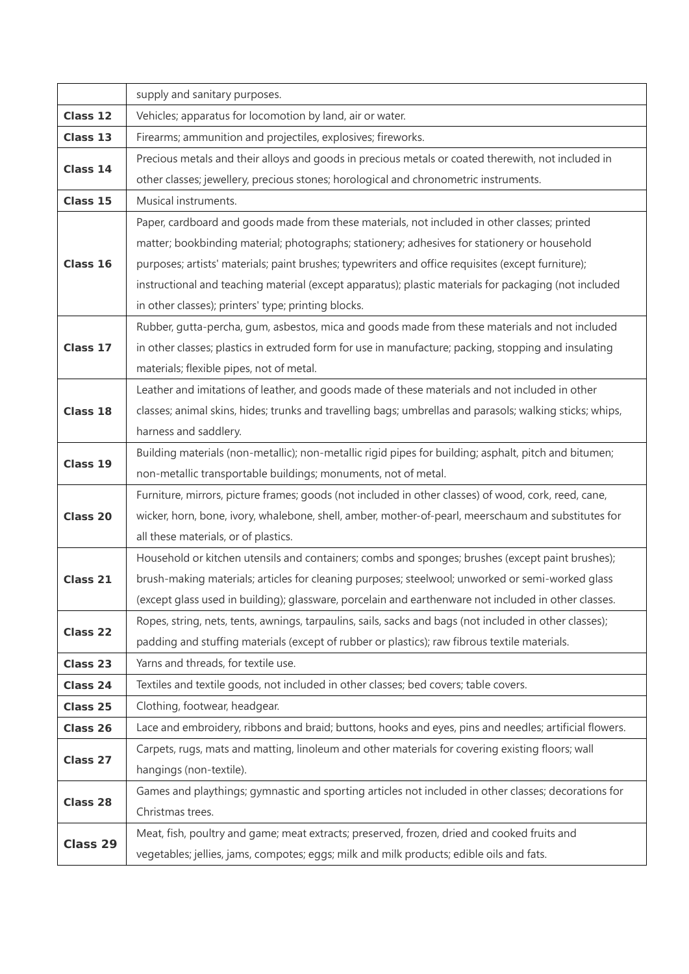|          | supply and sanitary purposes.                                                                            |
|----------|----------------------------------------------------------------------------------------------------------|
| Class 12 | Vehicles; apparatus for locomotion by land, air or water.                                                |
| Class 13 | Firearms; ammunition and projectiles, explosives; fireworks.                                             |
| Class 14 | Precious metals and their alloys and goods in precious metals or coated therewith, not included in       |
|          | other classes; jewellery, precious stones; horological and chronometric instruments.                     |
| Class 15 | Musical instruments.                                                                                     |
|          | Paper, cardboard and goods made from these materials, not included in other classes; printed             |
| Class 16 | matter; bookbinding material; photographs; stationery; adhesives for stationery or household             |
|          | purposes; artists' materials; paint brushes; typewriters and office requisites (except furniture);       |
|          | instructional and teaching material (except apparatus); plastic materials for packaging (not included    |
|          | in other classes); printers' type; printing blocks.                                                      |
| Class 17 | Rubber, gutta-percha, gum, asbestos, mica and goods made from these materials and not included           |
|          | in other classes; plastics in extruded form for use in manufacture; packing, stopping and insulating     |
|          | materials; flexible pipes, not of metal.                                                                 |
|          | Leather and imitations of leather, and goods made of these materials and not included in other           |
| Class 18 | classes; animal skins, hides; trunks and travelling bags; umbrellas and parasols; walking sticks; whips, |
|          | harness and saddlery.                                                                                    |
|          | Building materials (non-metallic); non-metallic rigid pipes for building; asphalt, pitch and bitumen;    |
| Class 19 | non-metallic transportable buildings; monuments, not of metal.                                           |
|          | Furniture, mirrors, picture frames; goods (not included in other classes) of wood, cork, reed, cane,     |
| Class 20 | wicker, horn, bone, ivory, whalebone, shell, amber, mother-of-pearl, meerschaum and substitutes for      |
|          | all these materials, or of plastics.                                                                     |
|          | Household or kitchen utensils and containers; combs and sponges; brushes (except paint brushes);         |
| Class 21 | brush-making materials; articles for cleaning purposes; steelwool; unworked or semi-worked glass         |
|          | (except glass used in building); glassware, porcelain and earthenware not included in other classes.     |
|          | Ropes, string, nets, tents, awnings, tarpaulins, sails, sacks and bags (not included in other classes);  |
| Class 22 | padding and stuffing materials (except of rubber or plastics); raw fibrous textile materials.            |
| Class 23 | Yarns and threads, for textile use.                                                                      |
| Class 24 | Textiles and textile goods, not included in other classes; bed covers; table covers.                     |
| Class 25 | Clothing, footwear, headgear.                                                                            |
| Class 26 | Lace and embroidery, ribbons and braid; buttons, hooks and eyes, pins and needles; artificial flowers.   |
|          | Carpets, rugs, mats and matting, linoleum and other materials for covering existing floors; wall         |
| Class 27 | hangings (non-textile).                                                                                  |
| Class 28 | Games and playthings; gymnastic and sporting articles not included in other classes; decorations for     |
|          | Christmas trees.                                                                                         |
| Class 29 | Meat, fish, poultry and game; meat extracts; preserved, frozen, dried and cooked fruits and              |
|          | vegetables; jellies, jams, compotes; eggs; milk and milk products; edible oils and fats.                 |